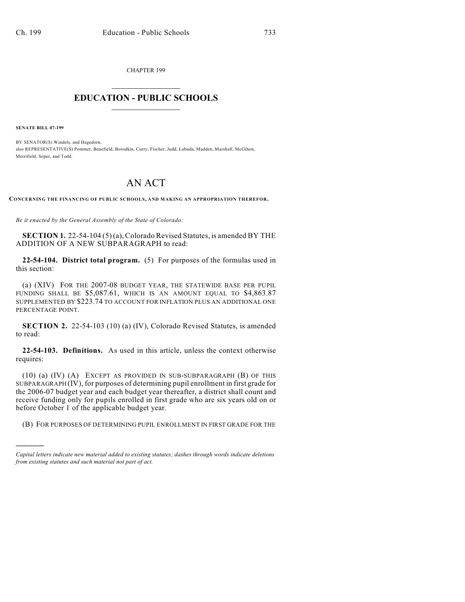CHAPTER 199  $\overline{\phantom{a}}$  . The set of the set of the set of the set of the set of the set of the set of the set of the set of the set of the set of the set of the set of the set of the set of the set of the set of the set of the set o

## **EDUCATION - PUBLIC SCHOOLS**  $\_$   $\_$   $\_$   $\_$   $\_$   $\_$   $\_$   $\_$   $\_$

**SENATE BILL 07-199**

)))))

BY SENATOR(S) Windels, and Hagedorn; also REPRESENTATIVE(S) Pommer, Benefield, Borodkin, Curry, Fischer, Judd, Labuda, Madden, Marshall, McGihon, Merrifield, Soper, and Todd.

## AN ACT

**CONCERNING THE FINANCING OF PUBLIC SCHOOLS, AND MAKING AN APPROPRIATION THEREFOR.**

*Be it enacted by the General Assembly of the State of Colorado:*

**SECTION 1.** 22-54-104 (5) (a), Colorado Revised Statutes, is amended BY THE ADDITION OF A NEW SUBPARAGRAPH to read:

**22-54-104. District total program.** (5) For purposes of the formulas used in this section:

(a) (XIV) FOR THE 2007-08 BUDGET YEAR, THE STATEWIDE BASE PER PUPIL FUNDING SHALL BE \$5,087.61, WHICH IS AN AMOUNT EQUAL TO \$4,863.87 SUPPLEMENTED BY \$223.74 TO ACCOUNT FOR INFLATION PLUS AN ADDITIONAL ONE PERCENTAGE POINT.

**SECTION 2.** 22-54-103 (10) (a) (IV), Colorado Revised Statutes, is amended to read:

**22-54-103. Definitions.** As used in this article, unless the context otherwise requires:

(10) (a) (IV) (A) EXCEPT AS PROVIDED IN SUB-SUBPARAGRAPH (B) OF THIS SUBPARAGRAPH (IV), for purposes of determining pupil enrollment in first grade for the 2006-07 budget year and each budget year thereafter, a district shall count and receive funding only for pupils enrolled in first grade who are six years old on or before October 1 of the applicable budget year.

(B) FOR PURPOSES OF DETERMINING PUPIL ENROLLMENT IN FIRST GRADE FOR THE

*Capital letters indicate new material added to existing statutes; dashes through words indicate deletions from existing statutes and such material not part of act.*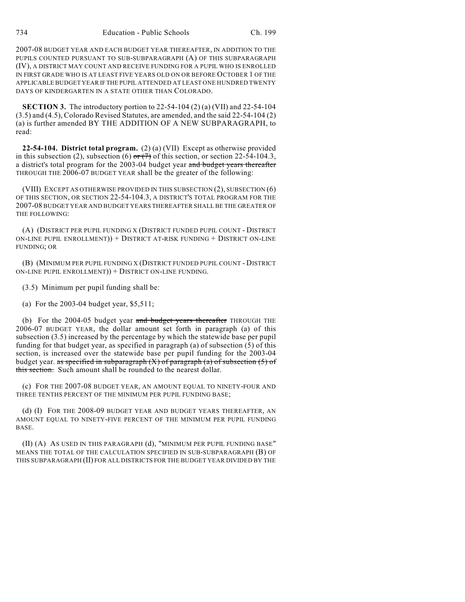2007-08 BUDGET YEAR AND EACH BUDGET YEAR THEREAFTER, IN ADDITION TO THE PUPILS COUNTED PURSUANT TO SUB-SUBPARAGRAPH (A) OF THIS SUBPARAGRAPH (IV), A DISTRICT MAY COUNT AND RECEIVE FUNDING FOR A PUPIL WHO IS ENROLLED IN FIRST GRADE WHO IS AT LEAST FIVE YEARS OLD ON OR BEFORE OCTOBER 1 OF THE APPLICABLE BUDGET YEAR IF THE PUPIL ATTENDED AT LEAST ONE HUNDRED TWENTY DAYS OF KINDERGARTEN IN A STATE OTHER THAN COLORADO.

**SECTION 3.** The introductory portion to 22-54-104 (2) (a) (VII) and 22-54-104 (3.5) and (4.5), Colorado Revised Statutes, are amended, and the said 22-54-104 (2) (a) is further amended BY THE ADDITION OF A NEW SUBPARAGRAPH, to read:

**22-54-104. District total program.** (2) (a) (VII) Except as otherwise provided in this subsection (2), subsection (6) or  $(7)$  of this section, or section 22-54-104.3, a district's total program for the 2003-04 budget year and budget years thereafter THROUGH THE 2006-07 BUDGET YEAR shall be the greater of the following:

(VIII) EXCEPT AS OTHERWISE PROVIDED IN THIS SUBSECTION (2), SUBSECTION (6) OF THIS SECTION, OR SECTION 22-54-104.3, A DISTRICT'S TOTAL PROGRAM FOR THE 2007-08 BUDGET YEAR AND BUDGET YEARS THEREAFTER SHALL BE THE GREATER OF THE FOLLOWING:

(A) (DISTRICT PER PUPIL FUNDING X (DISTRICT FUNDED PUPIL COUNT - DISTRICT ON-LINE PUPIL ENROLLMENT)) + DISTRICT AT-RISK FUNDING + DISTRICT ON-LINE FUNDING; OR

(B) (MINIMUM PER PUPIL FUNDING X (DISTRICT FUNDED PUPIL COUNT - DISTRICT ON-LINE PUPIL ENROLLMENT)) + DISTRICT ON-LINE FUNDING.

(3.5) Minimum per pupil funding shall be:

(a) For the 2003-04 budget year, \$5,511;

(b) For the  $2004-05$  budget year and budget years thereafter THROUGH THE 2006-07 BUDGET YEAR, the dollar amount set forth in paragraph (a) of this subsection (3.5) increased by the percentage by which the statewide base per pupil funding for that budget year, as specified in paragraph (a) of subsection (5) of this section, is increased over the statewide base per pupil funding for the 2003-04 budget year. as specified in subparagraph  $(X)$  of paragraph  $(a)$  of subsection  $(5)$  of this section. Such amount shall be rounded to the nearest dollar.

(c) FOR THE 2007-08 BUDGET YEAR, AN AMOUNT EQUAL TO NINETY-FOUR AND THREE TENTHS PERCENT OF THE MINIMUM PER PUPIL FUNDING BASE;

(d) (I) FOR THE 2008-09 BUDGET YEAR AND BUDGET YEARS THEREAFTER, AN AMOUNT EQUAL TO NINETY-FIVE PERCENT OF THE MINIMUM PER PUPIL FUNDING BASE.

(II) (A) AS USED IN THIS PARAGRAPH (d), "MINIMUM PER PUPIL FUNDING BASE" MEANS THE TOTAL OF THE CALCULATION SPECIFIED IN SUB-SUBPARAGRAPH (B) OF THIS SUBPARAGRAPH (II) FOR ALL DISTRICTS FOR THE BUDGET YEAR DIVIDED BY THE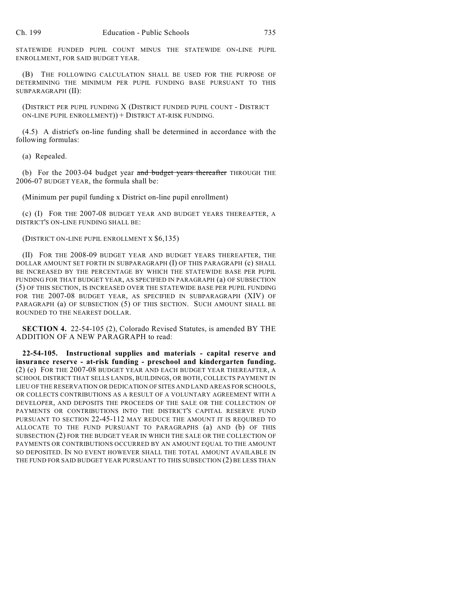STATEWIDE FUNDED PUPIL COUNT MINUS THE STATEWIDE ON-LINE PUPIL ENROLLMENT, FOR SAID BUDGET YEAR.

(B) THE FOLLOWING CALCULATION SHALL BE USED FOR THE PURPOSE OF DETERMINING THE MINIMUM PER PUPIL FUNDING BASE PURSUANT TO THIS SUBPARAGRAPH (II):

(DISTRICT PER PUPIL FUNDING X (DISTRICT FUNDED PUPIL COUNT - DISTRICT ON-LINE PUPIL ENROLLMENT)) + DISTRICT AT-RISK FUNDING.

(4.5) A district's on-line funding shall be determined in accordance with the following formulas:

(a) Repealed.

(b) For the  $2003-04$  budget year and budget years thereafter THROUGH THE 2006-07 BUDGET YEAR, the formula shall be:

(Minimum per pupil funding x District on-line pupil enrollment)

(c) (I) FOR THE 2007-08 BUDGET YEAR AND BUDGET YEARS THEREAFTER, A DISTRICT'S ON-LINE FUNDING SHALL BE:

## (DISTRICT ON-LINE PUPIL ENROLLMENT X \$6,135)

(II) FOR THE 2008-09 BUDGET YEAR AND BUDGET YEARS THEREAFTER, THE DOLLAR AMOUNT SET FORTH IN SUBPARAGRAPH (I) OF THIS PARAGRAPH (c) SHALL BE INCREASED BY THE PERCENTAGE BY WHICH THE STATEWIDE BASE PER PUPIL FUNDING FOR THAT BUDGET YEAR, AS SPECIFIED IN PARAGRAPH (a) OF SUBSECTION (5) OF THIS SECTION, IS INCREASED OVER THE STATEWIDE BASE PER PUPIL FUNDING FOR THE 2007-08 BUDGET YEAR, AS SPECIFIED IN SUBPARAGRAPH (XIV) OF PARAGRAPH (a) OF SUBSECTION (5) OF THIS SECTION. SUCH AMOUNT SHALL BE ROUNDED TO THE NEAREST DOLLAR.

**SECTION 4.** 22-54-105 (2), Colorado Revised Statutes, is amended BY THE ADDITION OF A NEW PARAGRAPH to read:

**22-54-105. Instructional supplies and materials - capital reserve and insurance reserve - at-risk funding - preschool and kindergarten funding.** (2) (e) FOR THE 2007-08 BUDGET YEAR AND EACH BUDGET YEAR THEREAFTER, A SCHOOL DISTRICT THAT SELLS LANDS, BUILDINGS, OR BOTH, COLLECTS PAYMENT IN LIEU OF THE RESERVATION OR DEDICATION OF SITES AND LAND AREAS FOR SCHOOLS, OR COLLECTS CONTRIBUTIONS AS A RESULT OF A VOLUNTARY AGREEMENT WITH A DEVELOPER, AND DEPOSITS THE PROCEEDS OF THE SALE OR THE COLLECTION OF PAYMENTS OR CONTRIBUTIONS INTO THE DISTRICT'S CAPITAL RESERVE FUND PURSUANT TO SECTION 22-45-112 MAY REDUCE THE AMOUNT IT IS REQUIRED TO ALLOCATE TO THE FUND PURSUANT TO PARAGRAPHS (a) AND (b) OF THIS SUBSECTION (2) FOR THE BUDGET YEAR IN WHICH THE SALE OR THE COLLECTION OF PAYMENTS OR CONTRIBUTIONS OCCURRED BY AN AMOUNT EQUAL TO THE AMOUNT SO DEPOSITED. IN NO EVENT HOWEVER SHALL THE TOTAL AMOUNT AVAILABLE IN THE FUND FOR SAID BUDGET YEAR PURSUANT TO THIS SUBSECTION (2) BE LESS THAN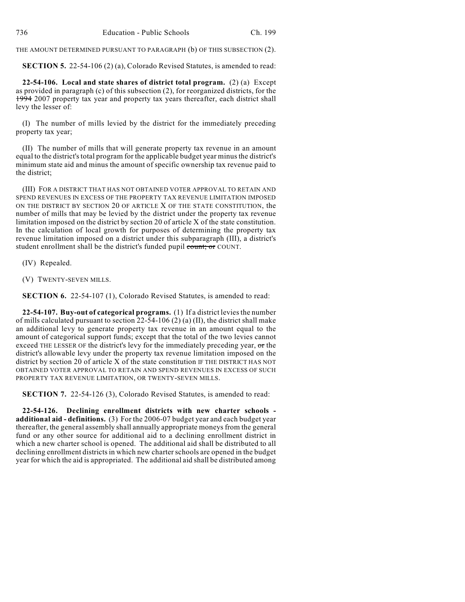THE AMOUNT DETERMINED PURSUANT TO PARAGRAPH (b) OF THIS SUBSECTION (2).

**SECTION 5.** 22-54-106 (2) (a), Colorado Revised Statutes, is amended to read:

**22-54-106. Local and state shares of district total program.** (2) (a) Except as provided in paragraph (c) of this subsection (2), for reorganized districts, for the 1994 2007 property tax year and property tax years thereafter, each district shall levy the lesser of:

(I) The number of mills levied by the district for the immediately preceding property tax year;

(II) The number of mills that will generate property tax revenue in an amount equal to the district's total program for the applicable budget year minus the district's minimum state aid and minus the amount of specific ownership tax revenue paid to the district;

(III) FOR A DISTRICT THAT HAS NOT OBTAINED VOTER APPROVAL TO RETAIN AND SPEND REVENUES IN EXCESS OF THE PROPERTY TAX REVENUE LIMITATION IMPOSED ON THE DISTRICT BY SECTION 20 OF ARTICLE X OF THE STATE CONSTITUTION, the number of mills that may be levied by the district under the property tax revenue limitation imposed on the district by section 20 of article X of the state constitution. In the calculation of local growth for purposes of determining the property tax revenue limitation imposed on a district under this subparagraph (III), a district's student enrollment shall be the district's funded pupil count; or COUNT.

(IV) Repealed.

(V) TWENTY-SEVEN MILLS.

**SECTION 6.** 22-54-107 (1), Colorado Revised Statutes, is amended to read:

**22-54-107. Buy-out of categorical programs.** (1) If a district levies the number of mills calculated pursuant to section  $22-54-106$  (2) (a) (II), the district shall make an additional levy to generate property tax revenue in an amount equal to the amount of categorical support funds; except that the total of the two levies cannot exceed THE LESSER OF the district's levy for the immediately preceding year, or the district's allowable levy under the property tax revenue limitation imposed on the district by section 20 of article X of the state constitution IF THE DISTRICT HAS NOT OBTAINED VOTER APPROVAL TO RETAIN AND SPEND REVENUES IN EXCESS OF SUCH PROPERTY TAX REVENUE LIMITATION, OR TWENTY-SEVEN MILLS.

**SECTION 7.** 22-54-126 (3), Colorado Revised Statutes, is amended to read:

**22-54-126. Declining enrollment districts with new charter schools additional aid - definitions.** (3) For the 2006-07 budget year and each budget year thereafter, the general assembly shall annually appropriate moneys from the general fund or any other source for additional aid to a declining enrollment district in which a new charter school is opened. The additional aid shall be distributed to all declining enrollment districts in which new charter schools are opened in the budget year for which the aid is appropriated. The additional aid shall be distributed among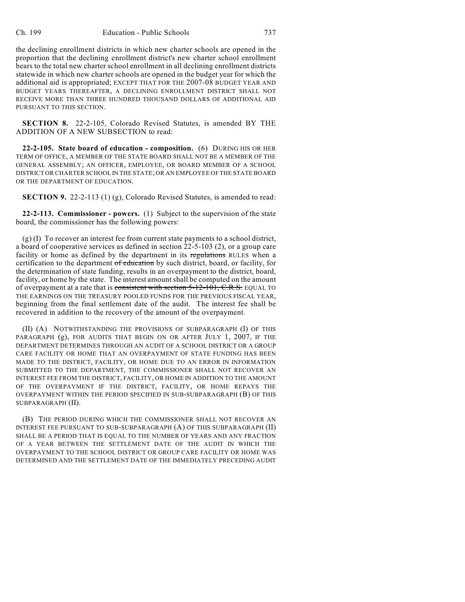the declining enrollment districts in which new charter schools are opened in the proportion that the declining enrollment district's new charter school enrollment bears to the total new charter school enrollment in all declining enrollment districts statewide in which new charter schools are opened in the budget year for which the additional aid is appropriated; EXCEPT THAT FOR THE 2007-08 BUDGET YEAR AND BUDGET YEARS THEREAFTER, A DECLINING ENROLLMENT DISTRICT SHALL NOT RECEIVE MORE THAN THREE HUNDRED THOUSAND DOLLARS OF ADDITIONAL AID PURSUANT TO THIS SECTION.

**SECTION 8.** 22-2-105, Colorado Revised Statutes, is amended BY THE ADDITION OF A NEW SUBSECTION to read:

**22-2-105. State board of education - composition.** (6) DURING HIS OR HER TERM OF OFFICE, A MEMBER OF THE STATE BOARD SHALL NOT BE A MEMBER OF THE GENERAL ASSEMBLY; AN OFFICER, EMPLOYEE, OR BOARD MEMBER OF A SCHOOL DISTRICT OR CHARTER SCHOOL IN THE STATE; OR AN EMPLOYEE OF THE STATE BOARD OR THE DEPARTMENT OF EDUCATION.

**SECTION 9.** 22-2-113 (1) (g), Colorado Revised Statutes, is amended to read:

**22-2-113. Commissioner - powers.** (1) Subject to the supervision of the state board, the commissioner has the following powers:

(g) (I) To recover an interest fee from current state payments to a school district, a board of cooperative services as defined in section 22-5-103 (2), or a group care facility or home as defined by the department in its regulations RULES when a certification to the department of education by such district, board, or facility, for the determination of state funding, results in an overpayment to the district, board, facility, or home by the state. The interest amount shall be computed on the amount of overpayment at a rate that is consistent with section  $5-12-101$ , C.R.S. EQUAL TO THE EARNINGS ON THE TREASURY POOLED FUNDS FOR THE PREVIOUS FISCAL YEAR, beginning from the final settlement date of the audit. The interest fee shall be recovered in addition to the recovery of the amount of the overpayment.

(II) (A) NOTWITHSTANDING THE PROVISIONS OF SUBPARAGRAPH (I) OF THIS PARAGRAPH (g), FOR AUDITS THAT BEGIN ON OR AFTER JULY 1, 2007, IF THE DEPARTMENT DETERMINES THROUGH AN AUDIT OF A SCHOOL DISTRICT OR A GROUP CARE FACILITY OR HOME THAT AN OVERPAYMENT OF STATE FUNDING HAS BEEN MADE TO THE DISTRICT, FACILITY, OR HOME DUE TO AN ERROR IN INFORMATION SUBMITTED TO THE DEPARTMENT, THE COMMISSIONER SHALL NOT RECOVER AN INTEREST FEE FROM THE DISTRICT, FACILITY, OR HOME IN ADDITION TO THE AMOUNT OF THE OVERPAYMENT IF THE DISTRICT, FACILITY, OR HOME REPAYS THE OVERPAYMENT WITHIN THE PERIOD SPECIFIED IN SUB-SUBPARAGRAPH (B) OF THIS SUBPARAGRAPH (II).

(B) THE PERIOD DURING WHICH THE COMMISSIONER SHALL NOT RECOVER AN INTEREST FEE PURSUANT TO SUB-SUBPARAGRAPH (A) OF THIS SUBPARAGRAPH (II) SHALL BE A PERIOD THAT IS EQUAL TO THE NUMBER OF YEARS AND ANY FRACTION OF A YEAR BETWEEN THE SETTLEMENT DATE OF THE AUDIT IN WHICH THE OVERPAYMENT TO THE SCHOOL DISTRICT OR GROUP CARE FACILITY OR HOME WAS DETERMINED AND THE SETTLEMENT DATE OF THE IMMEDIATELY PRECEDING AUDIT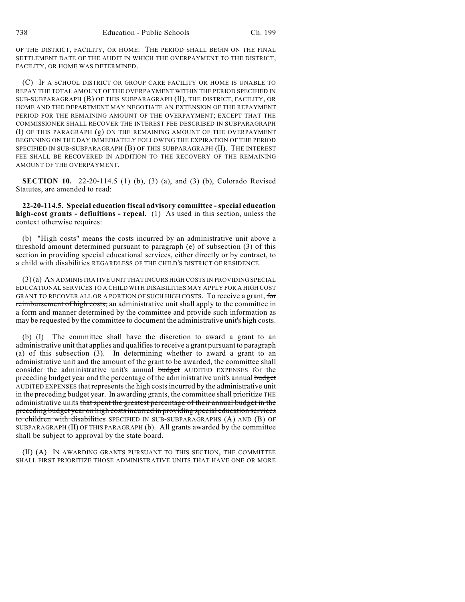OF THE DISTRICT, FACILITY, OR HOME. THE PERIOD SHALL BEGIN ON THE FINAL SETTLEMENT DATE OF THE AUDIT IN WHICH THE OVERPAYMENT TO THE DISTRICT, FACILITY, OR HOME WAS DETERMINED.

(C) IF A SCHOOL DISTRICT OR GROUP CARE FACILITY OR HOME IS UNABLE TO REPAY THE TOTAL AMOUNT OF THE OVERPAYMENT WITHIN THE PERIOD SPECIFIED IN SUB-SUBPARAGRAPH (B) OF THIS SUBPARAGRAPH (II), THE DISTRICT, FACILITY, OR HOME AND THE DEPARTMENT MAY NEGOTIATE AN EXTENSION OF THE REPAYMENT PERIOD FOR THE REMAINING AMOUNT OF THE OVERPAYMENT; EXCEPT THAT THE COMMISSIONER SHALL RECOVER THE INTEREST FEE DESCRIBED IN SUBPARAGRAPH (I) OF THIS PARAGRAPH (g) ON THE REMAINING AMOUNT OF THE OVERPAYMENT BEGINNING ON THE DAY IMMEDIATELY FOLLOWING THE EXPIRATION OF THE PERIOD SPECIFIED IN SUB-SUBPARAGRAPH (B) OF THIS SUBPARAGRAPH (II). THE INTEREST FEE SHALL BE RECOVERED IN ADDITION TO THE RECOVERY OF THE REMAINING AMOUNT OF THE OVERPAYMENT.

**SECTION 10.** 22-20-114.5 (1) (b), (3) (a), and (3) (b), Colorado Revised Statutes, are amended to read:

**22-20-114.5. Special education fiscal advisory committee - special education high-cost grants - definitions - repeal.** (1) As used in this section, unless the context otherwise requires:

(b) "High costs" means the costs incurred by an administrative unit above a threshold amount determined pursuant to paragraph (e) of subsection (3) of this section in providing special educational services, either directly or by contract, to a child with disabilities REGARDLESS OF THE CHILD'S DISTRICT OF RESIDENCE.

(3) (a) AN ADMINISTRATIVE UNIT THAT INCURS HIGH COSTS IN PROVIDING SPECIAL EDUCATIONAL SERVICES TO A CHILD WITH DISABILITIES MAY APPLY FOR A HIGH COST GRANT TO RECOVER ALL OR A PORTION OF SUCH HIGH COSTS. To receive a grant, for reimbursement of high costs, an administrative unit shall apply to the committee in a form and manner determined by the committee and provide such information as may be requested by the committee to document the administrative unit's high costs.

(b) (I) The committee shall have the discretion to award a grant to an administrative unit that applies and qualifies to receive a grant pursuant to paragraph (a) of this subsection (3). In determining whether to award a grant to an administrative unit and the amount of the grant to be awarded, the committee shall consider the administrative unit's annual budget AUDITED EXPENSES for the preceding budget year and the percentage of the administrative unit's annual budget AUDITED EXPENSES that represents the high costs incurred by the administrative unit in the preceding budget year. In awarding grants, the committee shall prioritize THE administrative units that spent the greatest percentage of their annual budget in the preceding budget year on high costs incurred in providing special education services to children with disabilities SPECIFIED IN SUB-SUBPARAGRAPHS (A) AND (B) OF SUBPARAGRAPH (II) OF THIS PARAGRAPH (b). All grants awarded by the committee shall be subject to approval by the state board.

(II) (A) IN AWARDING GRANTS PURSUANT TO THIS SECTION, THE COMMITTEE SHALL FIRST PRIORITIZE THOSE ADMINISTRATIVE UNITS THAT HAVE ONE OR MORE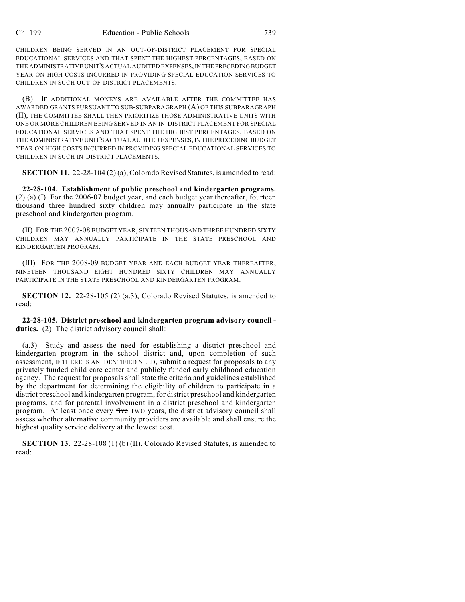CHILDREN BEING SERVED IN AN OUT-OF-DISTRICT PLACEMENT FOR SPECIAL EDUCATIONAL SERVICES AND THAT SPENT THE HIGHEST PERCENTAGES, BASED ON THE ADMINISTRATIVE UNIT'S ACTUAL AUDITED EXPENSES, IN THE PRECEDING BUDGET YEAR ON HIGH COSTS INCURRED IN PROVIDING SPECIAL EDUCATION SERVICES TO CHILDREN IN SUCH OUT-OF-DISTRICT PLACEMENTS.

(B) IF ADDITIONAL MONEYS ARE AVAILABLE AFTER THE COMMITTEE HAS AWARDED GRANTS PURSUANT TO SUB-SUBPARAGRAPH (A) OF THIS SUBPARAGRAPH (II), THE COMMITTEE SHALL THEN PRIORITIZE THOSE ADMINISTRATIVE UNITS WITH ONE OR MORE CHILDREN BEING SERVED IN AN IN-DISTRICT PLACEMENT FOR SPECIAL EDUCATIONAL SERVICES AND THAT SPENT THE HIGHEST PERCENTAGES, BASED ON THE ADMINISTRATIVE UNIT'S ACTUAL AUDITED EXPENSES, IN THE PRECEDING BUDGET YEAR ON HIGH COSTS INCURRED IN PROVIDING SPECIAL EDUCATIONAL SERVICES TO CHILDREN IN SUCH IN-DISTRICT PLACEMENTS.

**SECTION 11.** 22-28-104 (2) (a), Colorado Revised Statutes, is amended to read:

**22-28-104. Establishment of public preschool and kindergarten programs.** (2) (a) (I) For the 2006-07 budget year, and each budget year thereafter, fourteen thousand three hundred sixty children may annually participate in the state preschool and kindergarten program.

(II) FOR THE 2007-08 BUDGET YEAR, SIXTEEN THOUSAND THREE HUNDRED SIXTY CHILDREN MAY ANNUALLY PARTICIPATE IN THE STATE PRESCHOOL AND KINDERGARTEN PROGRAM.

(III) FOR THE 2008-09 BUDGET YEAR AND EACH BUDGET YEAR THEREAFTER, NINETEEN THOUSAND EIGHT HUNDRED SIXTY CHILDREN MAY ANNUALLY PARTICIPATE IN THE STATE PRESCHOOL AND KINDERGARTEN PROGRAM.

**SECTION 12.** 22-28-105 (2) (a.3), Colorado Revised Statutes, is amended to read:

**22-28-105. District preschool and kindergarten program advisory council duties.** (2) The district advisory council shall:

(a.3) Study and assess the need for establishing a district preschool and kindergarten program in the school district and, upon completion of such assessment, IF THERE IS AN IDENTIFIED NEED, submit a request for proposals to any privately funded child care center and publicly funded early childhood education agency. The request for proposals shall state the criteria and guidelines established by the department for determining the eligibility of children to participate in a district preschool and kindergarten program, for district preschool and kindergarten programs, and for parental involvement in a district preschool and kindergarten program. At least once every five TWO years, the district advisory council shall assess whether alternative community providers are available and shall ensure the highest quality service delivery at the lowest cost.

**SECTION 13.** 22-28-108 (1) (b) (II), Colorado Revised Statutes, is amended to read: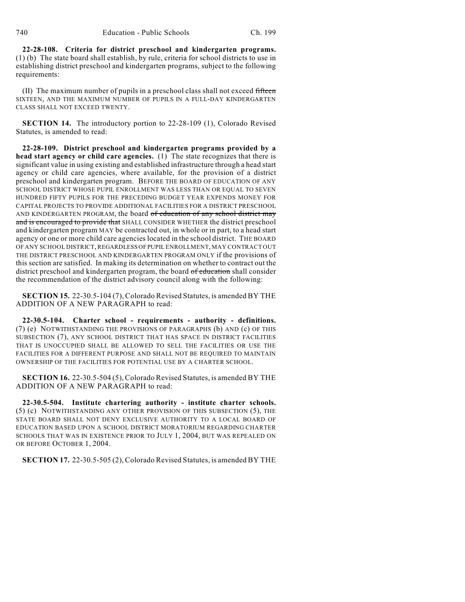**22-28-108. Criteria for district preschool and kindergarten programs.** (1) (b) The state board shall establish, by rule, criteria for school districts to use in establishing district preschool and kindergarten programs, subject to the following requirements:

 $(II)$  The maximum number of pupils in a preschool class shall not exceed fifteen SIXTEEN, AND THE MAXIMUM NUMBER OF PUPILS IN A FULL-DAY KINDERGARTEN CLASS SHALL NOT EXCEED TWENTY.

**SECTION 14.** The introductory portion to 22-28-109 (1), Colorado Revised Statutes, is amended to read:

**22-28-109. District preschool and kindergarten programs provided by a head start agency or child care agencies.** (1) The state recognizes that there is significant value in using existing and established infrastructure through a head start agency or child care agencies, where available, for the provision of a district preschool and kindergarten program. BEFORE THE BOARD OF EDUCATION OF ANY SCHOOL DISTRICT WHOSE PUPIL ENROLLMENT WAS LESS THAN OR EQUAL TO SEVEN HUNDRED FIFTY PUPILS FOR THE PRECEDING BUDGET YEAR EXPENDS MONEY FOR CAPITAL PROJECTS TO PROVIDE ADDITIONAL FACILITIES FOR A DISTRICT PRESCHOOL AND KINDERGARTEN PROGRAM, the board of education of any school district may and is encouraged to provide that SHALL CONSIDER WHETHER the district preschool and kindergarten program MAY be contracted out, in whole or in part, to a head start agency or one or more child care agencies located in the school district. THE BOARD OF ANY SCHOOL DISTRICT, REGARDLESS OF PUPIL ENROLLMENT, MAY CONTRACT OUT THE DISTRICT PRESCHOOL AND KINDERGARTEN PROGRAM ONLY if the provisions of this section are satisfied. In making its determination on whether to contract out the district preschool and kindergarten program, the board of education shall consider the recommendation of the district advisory council along with the following:

**SECTION 15.** 22-30.5-104 (7), Colorado Revised Statutes, is amended BY THE ADDITION OF A NEW PARAGRAPH to read:

**22-30.5-104. Charter school - requirements - authority - definitions.** (7) (e) NOTWITHSTANDING THE PROVISIONS OF PARAGRAPHS (b) AND (c) OF THIS SUBSECTION (7), ANY SCHOOL DISTRICT THAT HAS SPACE IN DISTRICT FACILITIES THAT IS UNOCCUPIED SHALL BE ALLOWED TO SELL THE FACILITIES OR USE THE FACILITIES FOR A DIFFERENT PURPOSE AND SHALL NOT BE REQUIRED TO MAINTAIN OWNERSHIP OF THE FACILITIES FOR POTENTIAL USE BY A CHARTER SCHOOL.

**SECTION 16.** 22-30.5-504 (5), Colorado Revised Statutes, is amended BY THE ADDITION OF A NEW PARAGRAPH to read:

**22-30.5-504. Institute chartering authority - institute charter schools.** (5) (c) NOTWITHSTANDING ANY OTHER PROVISION OF THIS SUBSECTION (5), THE STATE BOARD SHALL NOT DENY EXCLUSIVE AUTHORITY TO A LOCAL BOARD OF EDUCATION BASED UPON A SCHOOL DISTRICT MORATORIUM REGARDING CHARTER SCHOOLS THAT WAS IN EXISTENCE PRIOR TO JULY 1, 2004, BUT WAS REPEALED ON OR BEFORE OCTOBER 1, 2004.

**SECTION 17.** 22-30.5-505 (2), Colorado Revised Statutes, is amended BY THE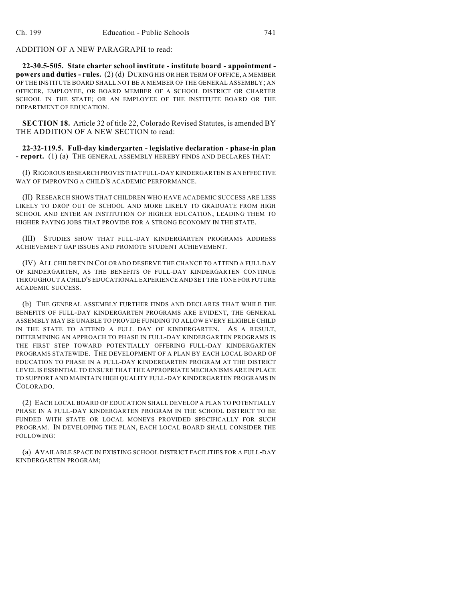ADDITION OF A NEW PARAGRAPH to read:

**22-30.5-505. State charter school institute - institute board - appointment powers and duties - rules.** (2) (d) DURING HIS OR HER TERM OF OFFICE, A MEMBER OF THE INSTITUTE BOARD SHALL NOT BE A MEMBER OF THE GENERAL ASSEMBLY; AN OFFICER, EMPLOYEE, OR BOARD MEMBER OF A SCHOOL DISTRICT OR CHARTER SCHOOL IN THE STATE; OR AN EMPLOYEE OF THE INSTITUTE BOARD OR THE DEPARTMENT OF EDUCATION.

**SECTION 18.** Article 32 of title 22, Colorado Revised Statutes, is amended BY THE ADDITION OF A NEW SECTION to read:

**22-32-119.5. Full-day kindergarten - legislative declaration - phase-in plan - report.** (1) (a) THE GENERAL ASSEMBLY HEREBY FINDS AND DECLARES THAT:

(I) RIGOROUS RESEARCH PROVES THAT FULL-DAY KINDERGARTEN IS AN EFFECTIVE WAY OF IMPROVING A CHILD'S ACADEMIC PERFORMANCE.

(II) RESEARCH SHOWS THAT CHILDREN WHO HAVE ACADEMIC SUCCESS ARE LESS LIKELY TO DROP OUT OF SCHOOL AND MORE LIKELY TO GRADUATE FROM HIGH SCHOOL AND ENTER AN INSTITUTION OF HIGHER EDUCATION, LEADING THEM TO HIGHER PAYING JOBS THAT PROVIDE FOR A STRONG ECONOMY IN THE STATE.

(III) STUDIES SHOW THAT FULL-DAY KINDERGARTEN PROGRAMS ADDRESS ACHIEVEMENT GAP ISSUES AND PROMOTE STUDENT ACHIEVEMENT.

(IV) ALL CHILDREN IN COLORADO DESERVE THE CHANCE TO ATTEND A FULL DAY OF KINDERGARTEN, AS THE BENEFITS OF FULL-DAY KINDERGARTEN CONTINUE THROUGHOUT A CHILD'S EDUCATIONAL EXPERIENCE AND SET THE TONE FOR FUTURE ACADEMIC SUCCESS.

(b) THE GENERAL ASSEMBLY FURTHER FINDS AND DECLARES THAT WHILE THE BENEFITS OF FULL-DAY KINDERGARTEN PROGRAMS ARE EVIDENT, THE GENERAL ASSEMBLY MAY BE UNABLE TO PROVIDE FUNDING TO ALLOW EVERY ELIGIBLE CHILD IN THE STATE TO ATTEND A FULL DAY OF KINDERGARTEN. AS A RESULT, DETERMINING AN APPROACH TO PHASE IN FULL-DAY KINDERGARTEN PROGRAMS IS THE FIRST STEP TOWARD POTENTIALLY OFFERING FULL-DAY KINDERGARTEN PROGRAMS STATEWIDE. THE DEVELOPMENT OF A PLAN BY EACH LOCAL BOARD OF EDUCATION TO PHASE IN A FULL-DAY KINDERGARTEN PROGRAM AT THE DISTRICT LEVEL IS ESSENTIAL TO ENSURE THAT THE APPROPRIATE MECHANISMS ARE IN PLACE TO SUPPORT AND MAINTAIN HIGH QUALITY FULL-DAY KINDERGARTEN PROGRAMS IN COLORADO.

(2) EACH LOCAL BOARD OF EDUCATION SHALL DEVELOP A PLAN TO POTENTIALLY PHASE IN A FULL-DAY KINDERGARTEN PROGRAM IN THE SCHOOL DISTRICT TO BE FUNDED WITH STATE OR LOCAL MONEYS PROVIDED SPECIFICALLY FOR SUCH PROGRAM. IN DEVELOPING THE PLAN, EACH LOCAL BOARD SHALL CONSIDER THE FOLLOWING:

(a) AVAILABLE SPACE IN EXISTING SCHOOL DISTRICT FACILITIES FOR A FULL-DAY KINDERGARTEN PROGRAM;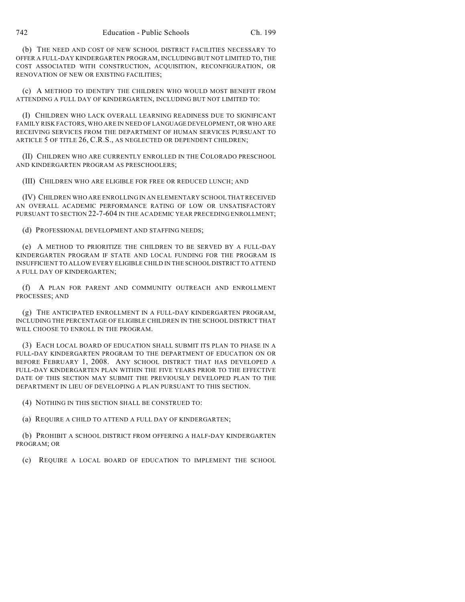(b) THE NEED AND COST OF NEW SCHOOL DISTRICT FACILITIES NECESSARY TO OFFER A FULL-DAY KINDERGARTEN PROGRAM, INCLUDING BUT NOT LIMITED TO, THE COST ASSOCIATED WITH CONSTRUCTION, ACQUISITION, RECONFIGURATION, OR RENOVATION OF NEW OR EXISTING FACILITIES;

(c) A METHOD TO IDENTIFY THE CHILDREN WHO WOULD MOST BENEFIT FROM ATTENDING A FULL DAY OF KINDERGARTEN, INCLUDING BUT NOT LIMITED TO:

(I) CHILDREN WHO LACK OVERALL LEARNING READINESS DUE TO SIGNIFICANT FAMILY RISK FACTORS, WHO ARE IN NEED OF LANGUAGE DEVELOPMENT, OR WHO ARE RECEIVING SERVICES FROM THE DEPARTMENT OF HUMAN SERVICES PURSUANT TO ARTICLE 5 OF TITLE 26, C.R.S., AS NEGLECTED OR DEPENDENT CHILDREN;

(II) CHILDREN WHO ARE CURRENTLY ENROLLED IN THE COLORADO PRESCHOOL AND KINDERGARTEN PROGRAM AS PRESCHOOLERS;

(III) CHILDREN WHO ARE ELIGIBLE FOR FREE OR REDUCED LUNCH; AND

(IV) CHILDREN WHO ARE ENROLLING IN AN ELEMENTARY SCHOOL THAT RECEIVED AN OVERALL ACADEMIC PERFORMANCE RATING OF LOW OR UNSATISFACTORY PURSUANT TO SECTION 22-7-604 IN THE ACADEMIC YEAR PRECEDING ENROLLMENT;

(d) PROFESSIONAL DEVELOPMENT AND STAFFING NEEDS;

(e) A METHOD TO PRIORITIZE THE CHILDREN TO BE SERVED BY A FULL-DAY KINDERGARTEN PROGRAM IF STATE AND LOCAL FUNDING FOR THE PROGRAM IS INSUFFICIENT TO ALLOW EVERY ELIGIBLE CHILD IN THE SCHOOL DISTRICT TO ATTEND A FULL DAY OF KINDERGARTEN;

(f) A PLAN FOR PARENT AND COMMUNITY OUTREACH AND ENROLLMENT PROCESSES; AND

(g) THE ANTICIPATED ENROLLMENT IN A FULL-DAY KINDERGARTEN PROGRAM, INCLUDING THE PERCENTAGE OF ELIGIBLE CHILDREN IN THE SCHOOL DISTRICT THAT WILL CHOOSE TO ENROLL IN THE PROGRAM.

(3) EACH LOCAL BOARD OF EDUCATION SHALL SUBMIT ITS PLAN TO PHASE IN A FULL-DAY KINDERGARTEN PROGRAM TO THE DEPARTMENT OF EDUCATION ON OR BEFORE FEBRUARY 1, 2008. ANY SCHOOL DISTRICT THAT HAS DEVELOPED A FULL-DAY KINDERGARTEN PLAN WITHIN THE FIVE YEARS PRIOR TO THE EFFECTIVE DATE OF THIS SECTION MAY SUBMIT THE PREVIOUSLY DEVELOPED PLAN TO THE DEPARTMENT IN LIEU OF DEVELOPING A PLAN PURSUANT TO THIS SECTION.

(4) NOTHING IN THIS SECTION SHALL BE CONSTRUED TO:

(a) REQUIRE A CHILD TO ATTEND A FULL DAY OF KINDERGARTEN;

(b) PROHIBIT A SCHOOL DISTRICT FROM OFFERING A HALF-DAY KINDERGARTEN PROGRAM; OR

(c) REQUIRE A LOCAL BOARD OF EDUCATION TO IMPLEMENT THE SCHOOL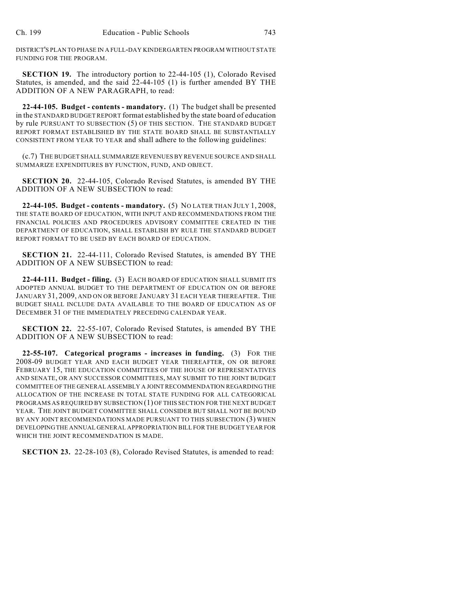DISTRICT'S PLAN TO PHASE IN A FULL-DAY KINDERGARTEN PROGRAM WITHOUT STATE FUNDING FOR THE PROGRAM.

**SECTION 19.** The introductory portion to 22-44-105 (1), Colorado Revised Statutes, is amended, and the said 22-44-105 (1) is further amended BY THE ADDITION OF A NEW PARAGRAPH, to read:

**22-44-105. Budget - contents - mandatory.** (1) The budget shall be presented in the STANDARD BUDGET REPORT format established by the state board of education by rule PURSUANT TO SUBSECTION (5) OF THIS SECTION. THE STANDARD BUDGET REPORT FORMAT ESTABLISHED BY THE STATE BOARD SHALL BE SUBSTANTIALLY CONSISTENT FROM YEAR TO YEAR and shall adhere to the following guidelines:

(c.7) THE BUDGET SHALL SUMMARIZE REVENUES BY REVENUE SOURCE AND SHALL SUMMARIZE EXPENDITURES BY FUNCTION, FUND, AND OBJECT.

**SECTION 20.** 22-44-105, Colorado Revised Statutes, is amended BY THE ADDITION OF A NEW SUBSECTION to read:

**22-44-105. Budget - contents - mandatory.** (5) NO LATER THAN JULY 1, 2008, THE STATE BOARD OF EDUCATION, WITH INPUT AND RECOMMENDATIONS FROM THE FINANCIAL POLICIES AND PROCEDURES ADVISORY COMMITTEE CREATED IN THE DEPARTMENT OF EDUCATION, SHALL ESTABLISH BY RULE THE STANDARD BUDGET REPORT FORMAT TO BE USED BY EACH BOARD OF EDUCATION.

**SECTION 21.** 22-44-111, Colorado Revised Statutes, is amended BY THE ADDITION OF A NEW SUBSECTION to read:

**22-44-111. Budget - filing.** (3) EACH BOARD OF EDUCATION SHALL SUBMIT ITS ADOPTED ANNUAL BUDGET TO THE DEPARTMENT OF EDUCATION ON OR BEFORE JANUARY 31, 2009, AND ON OR BEFORE JANUARY 31 EACH YEAR THEREAFTER. THE BUDGET SHALL INCLUDE DATA AVAILABLE TO THE BOARD OF EDUCATION AS OF DECEMBER 31 OF THE IMMEDIATELY PRECEDING CALENDAR YEAR.

**SECTION 22.** 22-55-107, Colorado Revised Statutes, is amended BY THE ADDITION OF A NEW SUBSECTION to read:

**22-55-107. Categorical programs - increases in funding.** (3) FOR THE 2008-09 BUDGET YEAR AND EACH BUDGET YEAR THEREAFTER, ON OR BEFORE FEBRUARY 15, THE EDUCATION COMMITTEES OF THE HOUSE OF REPRESENTATIVES AND SENATE, OR ANY SUCCESSOR COMMITTEES, MAY SUBMIT TO THE JOINT BUDGET COMMITTEE OF THE GENERAL ASSEMBLY A JOINT RECOMMENDATION REGARDING THE ALLOCATION OF THE INCREASE IN TOTAL STATE FUNDING FOR ALL CATEGORICAL PROGRAMS AS REQUIRED BY SUBSECTION (1) OF THIS SECTION FOR THE NEXT BUDGET YEAR. THE JOINT BUDGET COMMITTEE SHALL CONSIDER BUT SHALL NOT BE BOUND BY ANY JOINT RECOMMENDATIONS MADE PURSUANT TO THIS SUBSECTION (3) WHEN DEVELOPING THE ANNUAL GENERAL APPROPRIATION BILL FOR THE BUDGET YEAR FOR WHICH THE JOINT RECOMMENDATION IS MADE.

**SECTION 23.** 22-28-103 (8), Colorado Revised Statutes, is amended to read: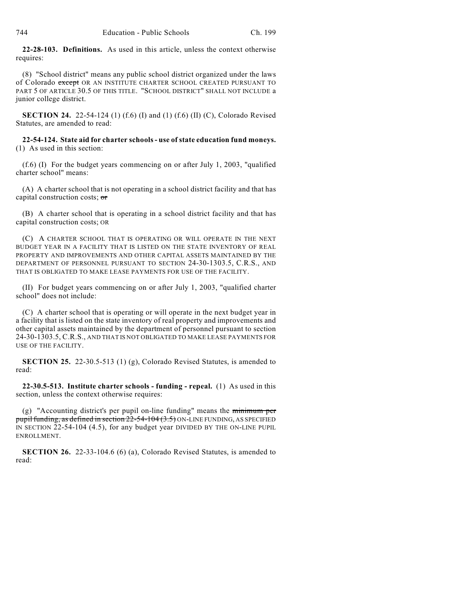**22-28-103. Definitions.** As used in this article, unless the context otherwise requires:

(8) "School district" means any public school district organized under the laws of Colorado except OR AN INSTITUTE CHARTER SCHOOL CREATED PURSUANT TO PART 5 OF ARTICLE 30.5 OF THIS TITLE. "SCHOOL DISTRICT" SHALL NOT INCLUDE a junior college district.

**SECTION 24.** 22-54-124 (1) (f.6) (I) and (1) (f.6) (II) (C), Colorado Revised Statutes, are amended to read:

## **22-54-124. State aid for charter schools - use of state education fund moneys.** (1) As used in this section:

(f.6) (I) For the budget years commencing on or after July 1, 2003, "qualified charter school" means:

(A) A charter school that is not operating in a school district facility and that has capital construction costs; or

(B) A charter school that is operating in a school district facility and that has capital construction costs; OR

(C) A CHARTER SCHOOL THAT IS OPERATING OR WILL OPERATE IN THE NEXT BUDGET YEAR IN A FACILITY THAT IS LISTED ON THE STATE INVENTORY OF REAL PROPERTY AND IMPROVEMENTS AND OTHER CAPITAL ASSETS MAINTAINED BY THE DEPARTMENT OF PERSONNEL PURSUANT TO SECTION 24-30-1303.5, C.R.S., AND THAT IS OBLIGATED TO MAKE LEASE PAYMENTS FOR USE OF THE FACILITY.

(II) For budget years commencing on or after July 1, 2003, "qualified charter school" does not include:

(C) A charter school that is operating or will operate in the next budget year in a facility that is listed on the state inventory of real property and improvements and other capital assets maintained by the department of personnel pursuant to section 24-30-1303.5, C.R.S., AND THAT IS NOT OBLIGATED TO MAKE LEASE PAYMENTS FOR USE OF THE FACILITY.

**SECTION 25.** 22-30.5-513 (1) (g), Colorado Revised Statutes, is amended to read:

**22-30.5-513. Institute charter schools - funding - repeal.** (1) As used in this section, unless the context otherwise requires:

(g) "Accounting district's per pupil on-line funding" means the minimum per pupil funding, as defined in section  $22-54-104(3.5)$  ON-LINE FUNDING, AS SPECIFIED IN SECTION 22-54-104 (4.5), for any budget year DIVIDED BY THE ON-LINE PUPIL ENROLLMENT.

**SECTION 26.** 22-33-104.6 (6) (a), Colorado Revised Statutes, is amended to read: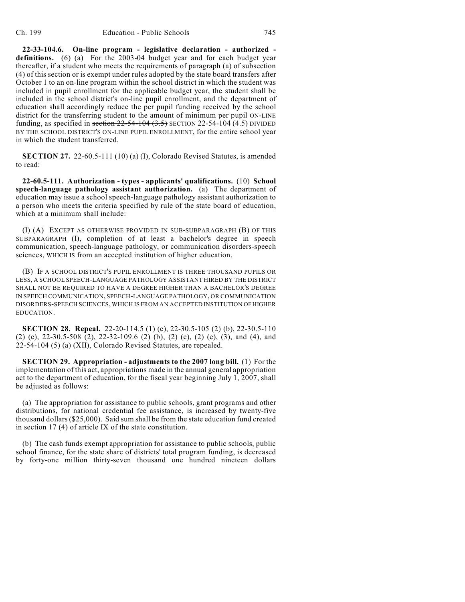**22-33-104.6. On-line program - legislative declaration - authorized definitions.** (6) (a) For the 2003-04 budget year and for each budget year thereafter, if a student who meets the requirements of paragraph (a) of subsection (4) of this section or is exempt under rules adopted by the state board transfers after October 1 to an on-line program within the school district in which the student was included in pupil enrollment for the applicable budget year, the student shall be included in the school district's on-line pupil enrollment, and the department of education shall accordingly reduce the per pupil funding received by the school district for the transferring student to the amount of minimum per pupil ON-LINE funding, as specified in section  $22-54-104$   $(3.5)$  SECTION 22-54-104  $(4.5)$  DIVIDED BY THE SCHOOL DISTRICT'S ON-LINE PUPIL ENROLLMENT, for the entire school year in which the student transferred.

**SECTION 27.** 22-60.5-111 (10) (a) (I), Colorado Revised Statutes, is amended to read:

**22-60.5-111. Authorization - types - applicants' qualifications.** (10) **School speech-language pathology assistant authorization.** (a) The department of education may issue a school speech-language pathology assistant authorization to a person who meets the criteria specified by rule of the state board of education, which at a minimum shall include:

(I) (A) EXCEPT AS OTHERWISE PROVIDED IN SUB-SUBPARAGRAPH (B) OF THIS SUBPARAGRAPH (I), completion of at least a bachelor's degree in speech communication, speech-language pathology, or communication disorders-speech sciences, WHICH IS from an accepted institution of higher education.

(B) IF A SCHOOL DISTRICT'S PUPIL ENROLLMENT IS THREE THOUSAND PUPILS OR LESS, A SCHOOL SPEECH-LANGUAGE PATHOLOGY ASSISTANT HIRED BY THE DISTRICT SHALL NOT BE REQUIRED TO HAVE A DEGREE HIGHER THAN A BACHELOR'S DEGREE IN SPEECH COMMUNICATION, SPEECH-LANGUAGE PATHOLOGY, OR COMMUNICATION DISORDERS-SPEECH SCIENCES, WHICH IS FROM AN ACCEPTED INSTITUTION OF HIGHER EDUCATION.

**SECTION 28. Repeal.** 22-20-114.5 (1) (c), 22-30.5-105 (2) (b), 22-30.5-110 (2) (c), 22-30.5-508 (2), 22-32-109.6 (2) (b), (2) (c), (2) (e), (3), and (4), and 22-54-104 (5) (a) (XII), Colorado Revised Statutes, are repealed.

**SECTION 29. Appropriation - adjustments to the 2007 long bill.** (1) For the implementation of this act, appropriations made in the annual general appropriation act to the department of education, for the fiscal year beginning July 1, 2007, shall be adjusted as follows:

(a) The appropriation for assistance to public schools, grant programs and other distributions, for national credential fee assistance, is increased by twenty-five thousand dollars (\$25,000). Said sum shall be from the state education fund created in section 17 (4) of article IX of the state constitution.

(b) The cash funds exempt appropriation for assistance to public schools, public school finance, for the state share of districts' total program funding, is decreased by forty-one million thirty-seven thousand one hundred nineteen dollars